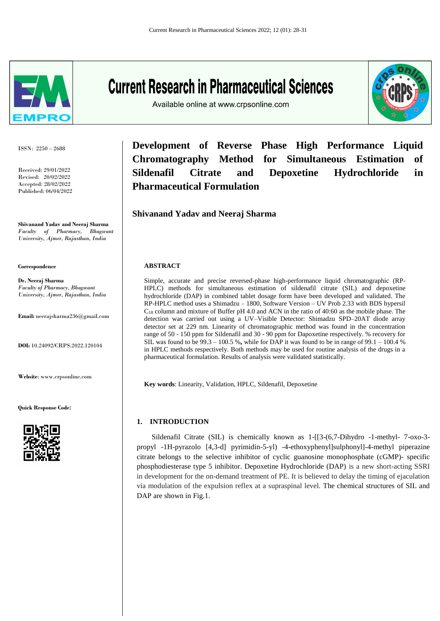

ISSN: 2250 – 2688

Received: 29/01/2022 Revised: 20/02/2022 Accepted: 28/02/2022 Published: 06/04/2022

**Shivanand Yadav and Neeraj Sharma** *Faculty of Pharmacy, Bhagwant University, Ajmer, Rajasthan, India*

**Correspondence**

**Dr. Neeraj Sharma** *Faculty of Pharmacy, Bhagwant University, Ajmer, Rajasthan, India*

**Email:** neerajsharma236@gmail.com

**DOI:** 10.24092/CRPS.2022.120104

**Website**: www.crpsonline.com

**Quick Response Code:**



# **Current Research in Pharmaceutical Sciences**

Available online at www.crpsonline.com



**Development of Reverse Phase High Performance Liquid Chromatography Method for Simultaneous Estimation of Sildenafil Citrate and Depoxetine Hydrochloride in Pharmaceutical Formulation**

## **Shivanand Yadav and Neeraj Sharma**

## **ABSTRACT**

Simple, accurate and precise reversed-phase high-performance liquid chromatographic (RP-HPLC) methods for simultaneous estimation of sildenafil citrate (SIL) and depoxetine hydrochloride (DAP) in combined tablet dosage form have been developed and validated. The RP-HPLC method uses a Shimadzu – 1800, Software Version – UV Prob 2.33 with BDS hypersil C<sup>18</sup> column and mixture of Buffer pH 4.0 and ACN in the ratio of 40:60 as the mobile phase. The detection was carried out using a UV–Visible Detector: Shimadzu SPD–20AT diode array detector set at 229 nm. Linearity of chromatographic method was found in the concentration range of 50 - 150 ppm for Sildenafil and 30 - 90 ppm for Dapoxetine respectively. % recovery for SIL was found to be 99.3 – 100.5 %**,** while for DAP it was found to be in range of 99.1 – 100.4 % in HPLC methods respectively. Both methods may be used for routine analysis of the drugs in a pharmaceutical formulation. Results of analysis were validated statistically.

**Key words**: Linearity, Validation, HPLC, Sildenafil, Depoxetine

## **1. INTRODUCTION**

 Sildenafil Citrate (SIL) is chemically known as 1-[[3-(6,7-Dihydro -1-methyl- 7-oxo-3 propyl -1H-pyrazolo [4,3-d] pyrimidin-5-yl) -4-ethoxyphenyl]sulphonyl]-4-methyl piperazine citrate belongs to the selective inhibitor of cyclic guanosine monophosphate (cGMP)- specific phosphodiesterase type 5 inhibitor. Depoxetine Hydrochloride (DAP) is a new short-acting SSRI in development for the on-demand treatment of PE. It is believed to delay the timing of ejaculation via modulation of the expulsion reflex at a supraspinal level. The chemical structures of SIL and DAP are shown in Fig.1.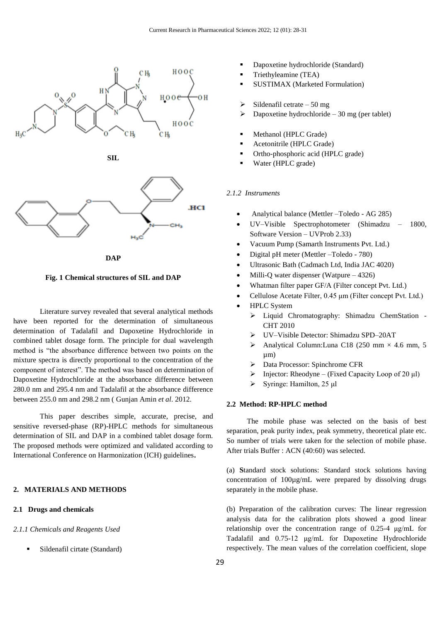





**DAP**

**Fig. 1 Chemical structures of SIL and DAP**

Literature survey revealed that several analytical methods have been reported for the determination of simultaneous determination of Tadalafil and Dapoxetine Hydrochloride in combined tablet dosage form. The principle for dual wavelength method is "the absorbance difference between two points on the mixture spectra is directly proportional to the concentration of the component of interest". The method was based on determination of Dapoxetine Hydrochloride at the absorbance difference between 280.0 nm and 295.4 nm and Tadalafil at the absorbance difference between 255.0 nm and 298.2 nm ( Gunjan Amin *et al*. 2012.

This paper describes simple, accurate, precise, and sensitive reversed-phase (RP)-HPLC methods for simultaneous determination of SIL and DAP in a combined tablet dosage form. The proposed methods were optimized and validated according to International Conference on Harmonization (ICH) guidelines**.**

## **2. MATERIALS AND METHODS**

## **2.1 Drugs and chemicals**

#### *2.1.1 Chemicals and Reagents Used*

Sildenafil cirtate (Standard)

- Dapoxetine hydrochloride (Standard)
- Triethyleamine (TEA)
- SUSTIMAX (Marketed Formulation)
- Sildenafil cetrate 50 mg
- Dapoxetine hydrochloride 30 mg (per tablet)
- Methanol (HPLC Grade)
- **Acetonitrile (HPLC Grade)**
- Ortho-phosphoric acid (HPLC grade)
- Water (HPLC grade)

## *2.1.2 Instruments*

- Analytical balance (Mettler –Toledo AG 285)
- UV–Visible Spectrophotometer (Shimadzu 1800, Software Version – UVProb 2.33)
- Vacuum Pump (Samarth Instruments Pvt. Ltd.)
- Digital pH meter (Mettler –Toledo 780)
- Ultrasonic Bath (Cadmach Ltd, India JAC 4020)
- Milli-Q water dispenser (Watpure 4326)
- Whatman filter paper GF/A (Filter concept Pvt. Ltd.)
- Cellulose Acetate Filter, 0.45 μm (Filter concept Pvt. Ltd.)
- HPLC System
	- Liquid Chromatography: Shimadzu ChemStation CHT 2010
	- UV–Visible Detector: Shimadzu SPD–20AT
	- Analytical Column:Luna C18 (250 mm  $\times$  4.6 mm, 5 µm)
	- Data Processor: Spinchrome CFR
	- $\triangleright$  Injector: Rheodyne (Fixed Capacity Loop of 20 µl)
	- $\triangleright$  Syringe: Hamilton, 25 μl

#### **2.2 Method: RP-HPLC method**

 The mobile phase was selected on the basis of best separation, peak purity index, peak symmetry, theoretical plate etc. So number of trials were taken for the selection of mobile phase. After trials Buffer : ACN (40:60) was selected.

(a) **S**tandard stock solutions: Standard stock solutions having concentration of 100µg/mL were prepared by dissolving drugs separately in the mobile phase.

(b) Preparation of the calibration curves: The linear regression analysis data for the calibration plots showed a good linear relationship over the concentration range of 0.25-4 μg/mL for Tadalafil and 0.75-12 μg/mL for Dapoxetine Hydrochloride respectively. The mean values of the correlation coefficient, slope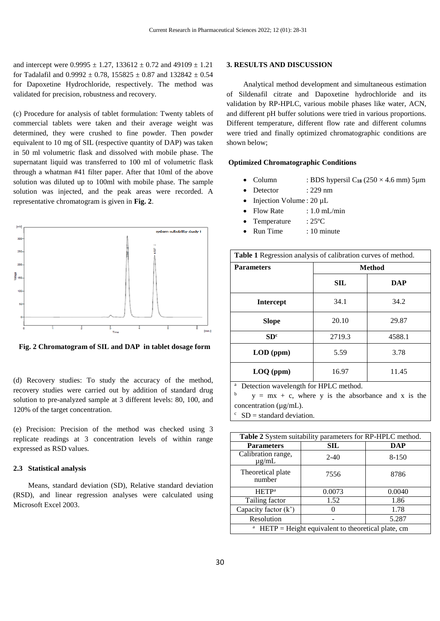and intercept were  $0.9995 \pm 1.27$ ,  $133612 \pm 0.72$  and  $49109 \pm 1.21$ for Tadalafil and  $0.9992 \pm 0.78$ ,  $155825 \pm 0.87$  and  $132842 \pm 0.54$ for Dapoxetine Hydrochloride, respectively. The method was validated for precision, robustness and recovery.

(c) Procedure for analysis of tablet formulation: Twenty tablets of commercial tablets were taken and their average weight was determined, they were crushed to fine powder. Then powder equivalent to 10 mg of SIL (respective quantity of DAP) was taken in 50 ml volumetric flask and dissolved with mobile phase. The supernatant liquid was transferred to 100 ml of volumetric flask through a whatman #41 filter paper. After that 10ml of the above solution was diluted up to 100ml with mobile phase. The sample solution was injected, and the peak areas were recorded. A representative chromatogram is given in **Fig. 2**.



 **Fig. 2 Chromatogram of SIL and DAP in tablet dosage form**

(d) Recovery studies: To study the accuracy of the method, recovery studies were carried out by addition of standard drug solution to pre-analyzed sample at 3 different levels: 80, 100, and 120% of the target concentration.

(e) Precision: Precision of the method was checked using 3 replicate readings at 3 concentration levels of within range expressed as RSD values.

#### **2.3 Statistical analysis**

 Means, standard deviation (SD), Relative standard deviation (RSD), and linear regression analyses were calculated using Microsoft Excel 2003.

#### **3. RESULTS AND DISCUSSION**

 Analytical method development and simultaneous estimation of Sildenafil citrate and Dapoxetine hydrochloride and its validation by RP-HPLC, various mobile phases like water, ACN, and different pH buffer solutions were tried in various proportions. Different temperature, different flow rate and different columns were tried and finally optimized chromatographic conditions are shown below;

## **Optimized Chromatographic Conditions**

- Column : BDS hypersil  $C_{18}$  (250  $\times$  4.6 mm) 5µm
- Detector : 229 nm
- Injection Volume : 20 µL
- Flow Rate : 1.0 mL/min
- Temperature : 25<sup>o</sup>C
- Run Time : 10 minute

| Table 1 Regression analysis of calibration curves of method. |               |            |  |
|--------------------------------------------------------------|---------------|------------|--|
| <b>Parameters</b>                                            | <b>Method</b> |            |  |
|                                                              | SIL           | <b>DAP</b> |  |
| <b>Intercept</b>                                             | 34.1          | 34.2       |  |
| <b>Slope</b>                                                 | 20.10         | 29.87      |  |
| SD <sup>c</sup>                                              | 2719.3        | 4588.1     |  |
| $LOD$ (ppm)                                                  | 5.59          | 3.78       |  |
| $LOQ$ (ppm)                                                  | 16.97         | 11.45      |  |

<sup>a</sup> Detection wavelength for HPLC method.

b  $y = mx + c$ , where y is the absorbance and x is the concentration ( $\mu$ g/mL).

 $SD = standard deviation$ .

| Table 2 System suitability parameters for RP-HPLC method. |                   |            |
|-----------------------------------------------------------|-------------------|------------|
| <b>Parameters</b>                                         | <b>SIL</b>        | <b>DAP</b> |
| Calibration range,<br>$\mu$ g/mL                          | $2 - 40$          | 8-150      |
| Theoretical plate<br>number                               | 7556              | 8786       |
| <b>HETP</b> <sup>a</sup>                                  | 0.0073            | 0.0040     |
| Tailing factor                                            | 1.52              | 1.86       |
| Capacity factor $(k')$                                    | $\mathbf{\Omega}$ | 1.78       |
| Resolution                                                |                   | 5.287      |
| $HETP = Height equivalent to theoretical plate, cm$       |                   |            |